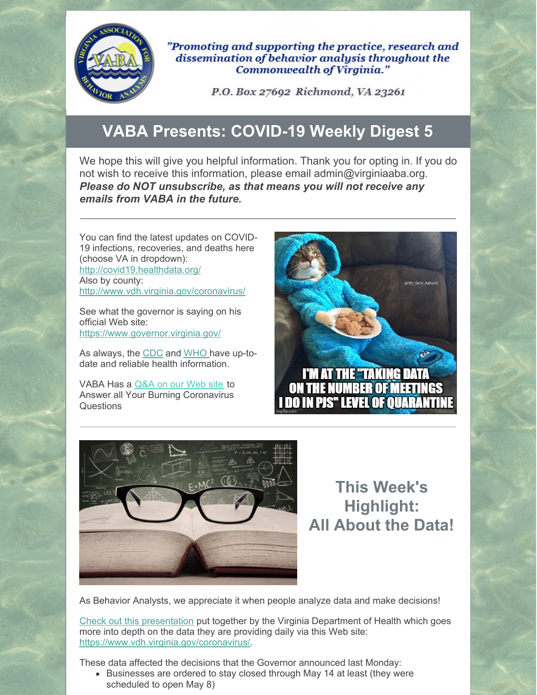

"Promoting and supporting the practice, research and dissemination of behavior analysis throughout the Commonwealth of Virginia."

P.O. Box 27692 Richmond, VA 23261

## **VABA Presents: COVID-19 Weekly Digest 5**

We hope this will give you helpful information. Thank you for opting in. If you do not wish to receive this information, please email admin@virginiaaba.org. *Please do NOT unsubscribe, as that means you will not receive any emails from VABA in the future.*

You can find the latest updates on COVID-19 infections, recoveries, and deaths here (choose VA in dropdown): <http://covid19.healthdata.org/> Also by county: <http://www.vdh.virginia.gov/coronavirus/>

See what the governor is saying on his official Web site: <https://www.governor.virginia.gov/>

As always, the [CDC](https://www.cdc.gov/coronavirus/2019-nCoV/index.html) and [WHO](https://www.who.int/emergencies/diseases/novel-coronavirus-2019) have up-todate and reliable health information.

VABA Has a [Q&A](https://www.virginiaaba.org/information-on-covid-19/) on our Web site to Answer all Your Burning Coronavirus Questions





**This Week's Highlight: All About the Data!**

As Behavior Analysts, we appreciate it when people analyze data and make decisions!

Check out this [presentation](https://www.virginiaaba.org/wp-content/uploads/2020/05/Data-Briefing-5-4.pdf) put together by the Virginia Department of Health which goes more into depth on the data they are providing daily via this Web site: <https://www.vdh.virginia.gov/coronavirus/>.

These data affected the decisions that the Governor announced last Monday:

Businesses are ordered to stay closed through May 14 at least (they were scheduled to open May 8)